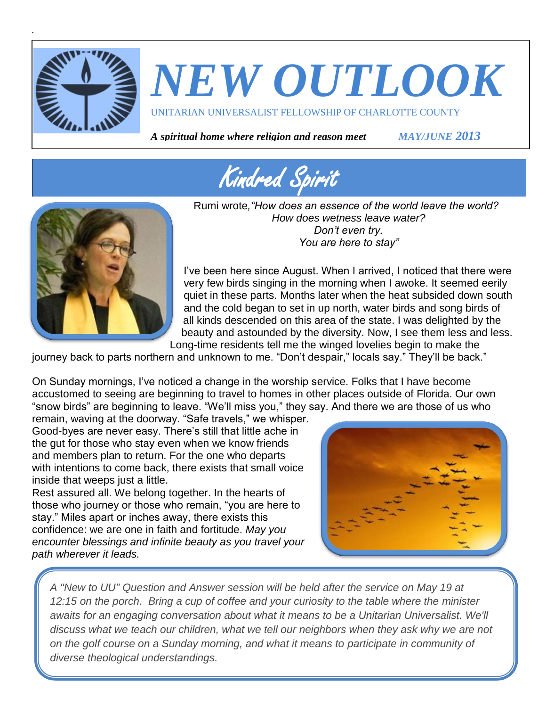

# *NEW OUTLOOK*

UNITARIAN UNIVERSALIST FELLOWSHIP OF CHARLOTTE COUNTY

*A spiritual home where religion and reason meet MAY/JUNE 2013*





Rumi wrote*,"How does an essence of the world leave the world? How does wetness leave water? Don't even try. You are here to stay"*

I've been here since August. When I arrived, I noticed that there were very few birds singing in the morning when I awoke. It seemed eerily quiet in these parts. Months later when the heat subsided down south and the cold began to set in up north, water birds and song birds of all kinds descended on this area of the state. I was delighted by the beauty and astounded by the diversity. Now, I see them less and less. Long-time residents tell me the winged lovelies begin to make the

journey back to parts northern and unknown to me. "Don't despair," locals say." They'll be back."

On Sunday mornings, I've noticed a change in the worship service. Folks that I have become accustomed to seeing are beginning to travel to homes in other places outside of Florida. Our own "snow birds" are beginning to leave. "We'll miss you," they say. And there we are those of us who

remain, waving at the doorway. "Safe travels," we whisper. Good-byes are never easy. There's still that little ache in the gut for those who stay even when we know friends and members plan to return. For the one who departs with intentions to come back, there exists that small voice inside that weeps just a little.

Rest assured all. We belong together. In the hearts of those who journey or those who remain, "you are here to stay." Miles apart or inches away, there exists this confidence: we are one in faith and fortitude. *May you encounter blessings and infinite beauty as you travel your path wherever it leads.*



*A "New to UU" Question and Answer session will be held after the service on May 19 at 12:15 on the porch. Bring a cup of coffee and your curiosity to the table where the minister awaits for an engaging conversation about what it means to be a Unitarian Universalist. We'll discuss what we teach our children, what we tell our neighbors when they ask why we are not on the golf course on a Sunday morning, and what it means to participate in community of diverse theological understandings.*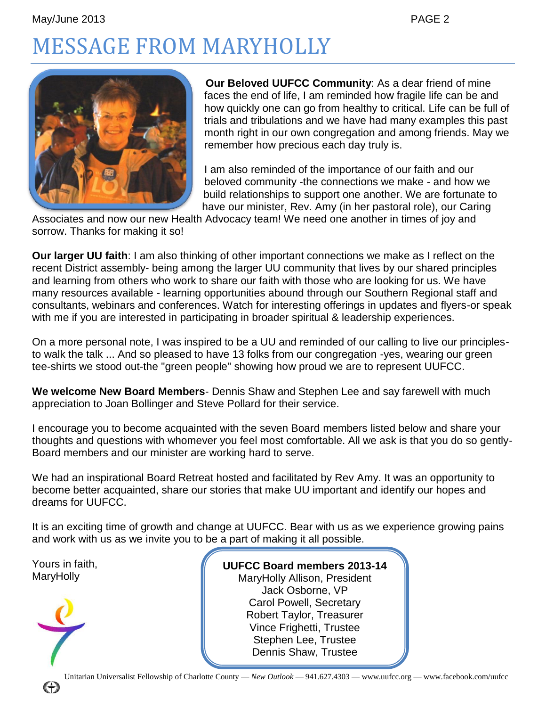# MESSAGE FROM MARYHOLLY



**Our Beloved UUFCC Community**: As a dear friend of mine faces the end of life, I am reminded how fragile life can be and how quickly one can go from healthy to critical. Life can be full of trials and tribulations and we have had many examples this past month right in our own congregation and among friends. May we remember how precious each day truly is.

I am also reminded of the importance of our faith and our beloved community -the connections we make - and how we build relationships to support one another. We are fortunate to have our minister, Rev. Amy (in her pastoral role), our Caring

Associates and now our new Health Advocacy team! We need one another in times of joy and sorrow. Thanks for making it so!

**Our larger UU faith**: I am also thinking of other important connections we make as I reflect on the recent District assembly- being among the larger UU community that lives by our shared principles and learning from others who work to share our faith with those who are looking for us. We have many resources available - learning opportunities abound through our Southern Regional staff and consultants, webinars and conferences. Watch for interesting offerings in updates and flyers-or speak with me if you are interested in participating in broader spiritual & leadership experiences.

On a more personal note, I was inspired to be a UU and reminded of our calling to live our principlesto walk the talk ... And so pleased to have 13 folks from our congregation -yes, wearing our green tee-shirts we stood out-the "green people" showing how proud we are to represent UUFCC.

**We welcome New Board Members**- Dennis Shaw and Stephen Lee and say farewell with much appreciation to Joan Bollinger and Steve Pollard for their service.

I encourage you to become acquainted with the seven Board members listed below and share your thoughts and questions with whomever you feel most comfortable. All we ask is that you do so gently-Board members and our minister are working hard to serve.

We had an inspirational Board Retreat hosted and facilitated by Rev Amy. It was an opportunity to become better acquainted, share our stories that make UU important and identify our hopes and dreams for UUFCC.

It is an exciting time of growth and change at UUFCC. Bear with us as we experience growing pains and work with us as we invite you to be a part of making it all possible.

Yours in faith, **MaryHolly** 



**UUFCC Board members 2013-14** MaryHolly Allison, President Jack Osborne, VP Carol Powell, Secretary Robert Taylor, Treasurer Vince Frighetti, Trustee Stephen Lee, Trustee Dennis Shaw, Trustee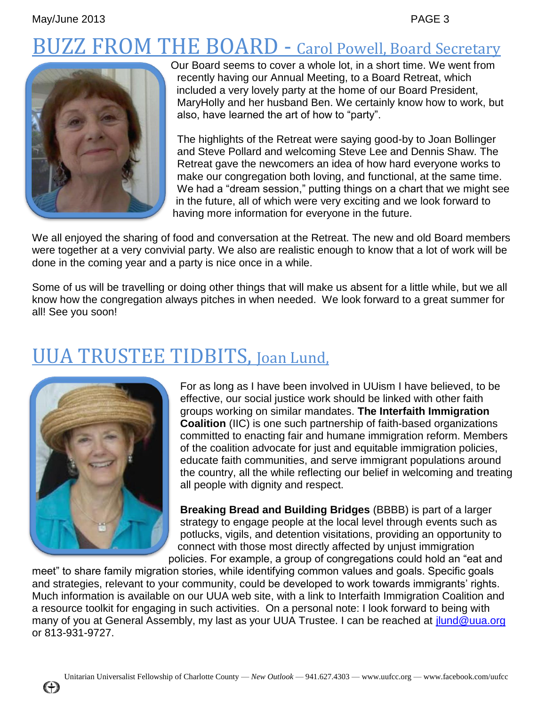# **ZZ FROM THE BOARD - Carol Powell, Board Secretary**



Our Board seems to cover a whole lot, in a short time. We went from recently having our Annual Meeting, to a Board Retreat, which included a very lovely party at the home of our Board President, MaryHolly and her husband Ben. We certainly know how to work, but also, have learned the art of how to "party".

The highlights of the Retreat were saying good-by to Joan Bollinger and Steve Pollard and welcoming Steve Lee and Dennis Shaw. The Retreat gave the newcomers an idea of how hard everyone works to make our congregation both loving, and functional, at the same time. We had a "dream session," putting things on a chart that we might see in the future, all of which were very exciting and we look forward to having more information for everyone in the future.

We all enjoyed the sharing of food and conversation at the Retreat. The new and old Board members were together at a very convivial party. We also are realistic enough to know that a lot of work will be done in the coming year and a party is nice once in a while.

Some of us will be travelling or doing other things that will make us absent for a little while, but we all know how the congregation always pitches in when needed. We look forward to a great summer for all! See you soon!

### UUA TRUSTEE TIDBITS, Joan Lund,



For as long as I have been involved in UUism I have believed, to be effective, our social justice work should be linked with other faith groups working on similar mandates. **The Interfaith Immigration Coalition** (IIC) is one such partnership of faith-based organizations committed to enacting fair and humane immigration reform. Members of the coalition advocate for just and equitable immigration policies, educate faith communities, and serve immigrant populations around the country, all the while reflecting our belief in welcoming and treating all people with dignity and respect.

**Breaking Bread and Building Bridges** (BBBB) is part of a larger strategy to engage people at the local level through events such as potlucks, vigils, and detention visitations, providing an opportunity to connect with those most directly affected by unjust immigration policies. For example, a group of congregations could hold an "eat and

meet" to share family migration stories, while identifying common values and goals. Specific goals and strategies, relevant to your community, could be developed to work towards immigrants' rights. Much information is available on our UUA web site, with a link to Interfaith Immigration Coalition and a resource toolkit for engaging in such activities. On a personal note: I look forward to being with many of you at General Assembly, my last as your UUA Trustee. I can be reached at [jlund@uua.org](mailto:jlund@uua.org) or 813-931-9727.

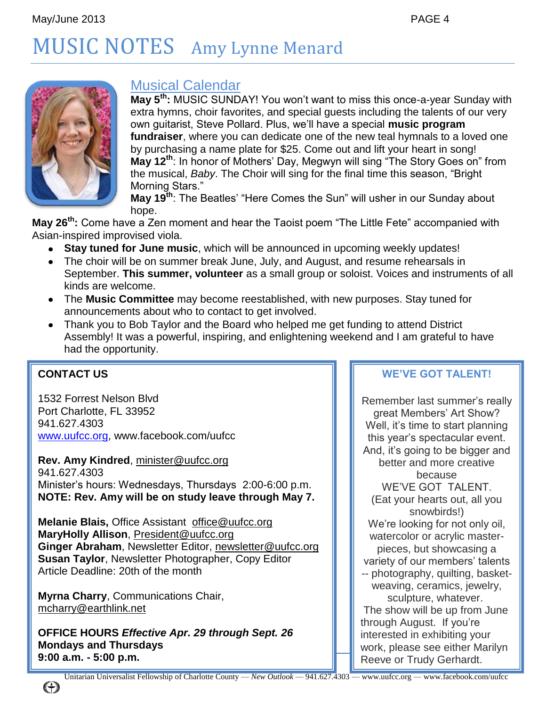# MUSIC NOTES Amy Lynne Menard



### Musical Calendar

**May 5th:** MUSIC SUNDAY! You won't want to miss this once-a-year Sunday with extra hymns, choir favorites, and special guests including the talents of our very own guitarist, Steve Pollard. Plus, we'll have a special **music program fundraiser**, where you can dedicate one of the new teal hymnals to a loved one by purchasing a name plate for \$25. Come out and lift your heart in song! **May 12th**: In honor of Mothers' Day, Megwyn will sing "The Story Goes on" from the musical, *Baby*. The Choir will sing for the final time this season, "Bright Morning Stars."

**May 19th**: The Beatles' "Here Comes the Sun" will usher in our Sunday about hope.

**May 26th:** Come have a Zen moment and hear the Taoist poem "The Little Fete" accompanied with Asian-inspired improvised viola.

- **Stay tuned for June music**, which will be announced in upcoming weekly updates!  $\bullet$
- The choir will be on summer break June, July, and August, and resume rehearsals in September. **This summer, volunteer** as a small group or soloist. Voices and instruments of all kinds are welcome.
- The **Music Committee** may become reestablished, with new purposes. Stay tuned for announcements about who to contact to get involved.
- Thank you to Bob Taylor and the Board who helped me get funding to attend District Assembly! It was a powerful, inspiring, and enlightening weekend and I am grateful to have had the opportunity.

### **CONTACT US**

1532 Forrest Nelson Blvd Port Charlotte, FL 33952 941.627.4303 [www.uufcc.org,](http://www.uufcc.org/) www.facebook.com/uufcc

**Rev. Amy Kindred**, minister@uufcc.org 941.627.4303 Minister's hours: Wednesdays, Thursdays 2:00-6:00 p.m. **NOTE: Rev. Amy will be on study leave through May 7.**

**Melanie Blais,** Office Assistant [office@uufcc.org](mailto:office@uufcc.org) **MaryHolly Allison**, President@uufcc.org **Ginger Abraham**, Newsletter Editor, newsletter@uufcc.org **Susan Taylor**, Newsletter Photographer, Copy Editor Article Deadline: 20th of the month

**Myrna Charry**, Communications Chair, mcharry@earthlink.net

**OFFICE HOURS** *Effective Apr. 29 through Sept. 26* **Mondays and Thursdays 9:00 a.m. - 5:00 p.m.**

### **WE'VE GOT TALENT!**

Remember last summer's really great Members' Art Show? Well, it's time to start planning this year's spectacular event. And, it's going to be bigger and better and more creative because WE'VE GOT TALENT. (Eat your hearts out, all you snowbirds!) We're looking for not only oil, watercolor or acrylic masterpieces, but showcasing a variety of our members' talents -- photography, quilting, basketweaving, ceramics, jewelry, sculpture, whatever. The show will be up from June through August. If you're interested in exhibiting your work, please see either Marilyn Reeve or Trudy Gerhardt.

(+)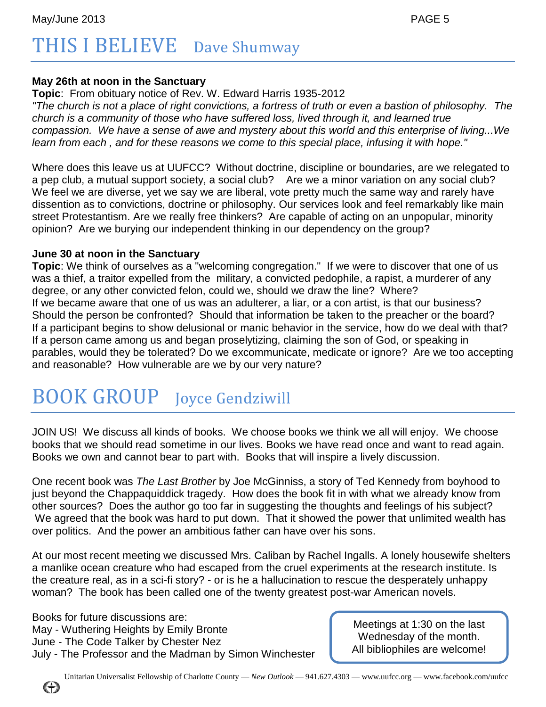# THIS I BELIEVE Dave Shumway

#### **May 26th at noon in the Sanctuary**

**Topic**: From obituary notice of Rev. W. Edward Harris 1935-2012 *"The church is not a place of right convictions, a fortress of truth or even a bastion of philosophy. The church is a community of those who have suffered loss, lived through it, and learned true compassion. We have a sense of awe and mystery about this world and this enterprise of living...We learn from each , and for these reasons we come to this special place, infusing it with hope."*

Where does this leave us at UUFCC? Without doctrine, discipline or boundaries, are we relegated to a pep club, a mutual support society, a social club? Are we a minor variation on any social club? We feel we are diverse, yet we say we are liberal, vote pretty much the same way and rarely have dissention as to convictions, doctrine or philosophy. Our services look and feel remarkably like main street Protestantism. Are we really free thinkers? Are capable of acting on an unpopular, minority opinion? Are we burying our independent thinking in our dependency on the group?

#### **June 30 at noon in the Sanctuary**

**Topic**: We think of ourselves as a "welcoming congregation." If we were to discover that one of us was a thief, a traitor expelled from the military, a convicted pedophile, a rapist, a murderer of any degree, or any other convicted felon, could we, should we draw the line? Where? If we became aware that one of us was an adulterer, a liar, or a con artist, is that our business? Should the person be confronted? Should that information be taken to the preacher or the board? If a participant begins to show delusional or manic behavior in the service, how do we deal with that? If a person came among us and began proselytizing, claiming the son of God, or speaking in parables, would they be tolerated? Do we excommunicate, medicate or ignore? Are we too accepting and reasonable? How vulnerable are we by our very nature?

# BOOK GROUP Joyce Gendziwill

JOIN US! We discuss all kinds of books. We choose books we think we all will enjoy. We choose books that we should read sometime in our lives. Books we have read once and want to read again. Books we own and cannot bear to part with. Books that will inspire a lively discussion.

One recent book was *The Last Brother* by Joe McGinniss, a story of Ted Kennedy from boyhood to just beyond the Chappaquiddick tragedy. How does the book fit in with what we already know from other sources? Does the author go too far in suggesting the thoughts and feelings of his subject? We agreed that the book was hard to put down. That it showed the power that unlimited wealth has over politics. And the power an ambitious father can have over his sons.

At our most recent meeting we discussed Mrs. Caliban by Rachel Ingalls. A lonely housewife shelters a manlike ocean creature who had escaped from the cruel experiments at the research institute. Is the creature real, as in a sci-fi story? - or is he a hallucination to rescue the desperately unhappy woman? The book has been called one of the twenty greatest post-war American novels.

Books for future discussions are: May - Wuthering Heights by Emily Bronte June - The Code Talker by Chester Nez July - The Professor and the Madman by Simon Winchester

Meetings at 1:30 on the last Wednesday of the month. All bibliophiles are welcome!

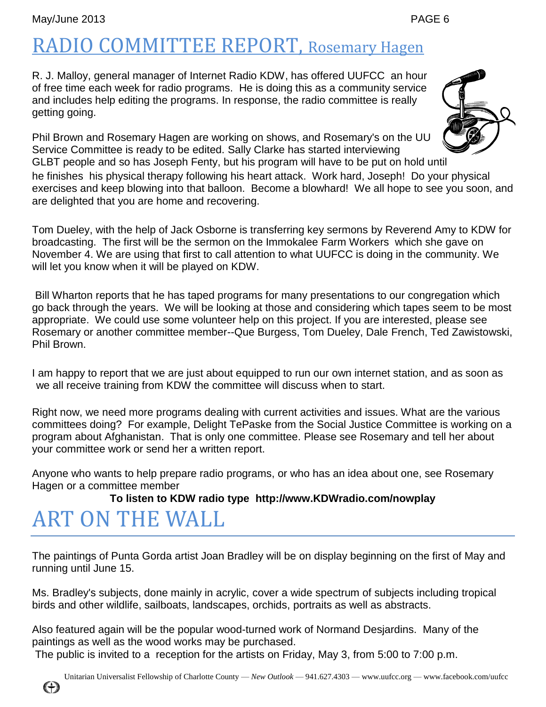# RADIO COMMITTEE REPORT, Rosemary Hagen

R. J. Malloy, general manager of Internet Radio KDW, has offered UUFCC an hour of free time each week for radio programs. He is doing this as a community service and includes help editing the programs. In response, the radio committee is really getting going.

Phil Brown and Rosemary Hagen are working on shows, and Rosemary's on the UU Service Committee is ready to be edited. Sally Clarke has started interviewing GLBT people and so has Joseph Fenty, but his program will have to be put on hold until

he finishes his physical therapy following his heart attack. Work hard, Joseph! Do your physical exercises and keep blowing into that balloon. Become a blowhard! We all hope to see you soon, and are delighted that you are home and recovering.

Tom Dueley, with the help of Jack Osborne is transferring key sermons by Reverend Amy to KDW for broadcasting. The first will be the sermon on the Immokalee Farm Workers which she gave on November 4. We are using that first to call attention to what UUFCC is doing in the community. We will let you know when it will be played on KDW.

Bill Wharton reports that he has taped programs for many presentations to our congregation which go back through the years. We will be looking at those and considering which tapes seem to be most appropriate. We could use some volunteer help on this project. If you are interested, please see Rosemary or another committee member--Que Burgess, Tom Dueley, Dale French, Ted Zawistowski, Phil Brown.

I am happy to report that we are just about equipped to run our own internet station, and as soon as we all receive training from KDW the committee will discuss when to start.

Right now, we need more programs dealing with current activities and issues. What are the various committees doing? For example, Delight TePaske from the Social Justice Committee is working on a program about Afghanistan. That is only one committee. Please see Rosemary and tell her about your committee work or send her a written report.

Anyone who wants to help prepare radio programs, or who has an idea about one, see Rosemary Hagen or a committee member

### **To listen to KDW radio type http://www.KDWradio.com/nowplay**

### ART ON THE WALL

The paintings of Punta Gorda artist Joan Bradley will be on display beginning on the first of May and running until June 15.

Ms. Bradley's subjects, done mainly in acrylic, cover a wide spectrum of subjects including tropical birds and other wildlife, sailboats, landscapes, orchids, portraits as well as abstracts.

Also featured again will be the popular wood-turned work of Normand Desjardins. Many of the paintings as well as the wood works may be purchased.

The public is invited to a reception for the artists on Friday, May 3, from 5:00 to 7:00 p.m.

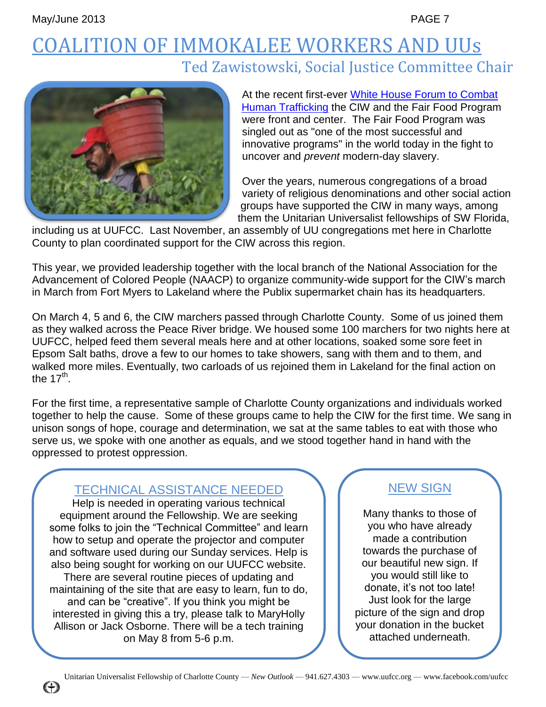### COALITION OF IMMOKALEE WORKERS AND UUs Ted Zawistowski, Social Justice Committee Chair



At the recent first-ever White [House Forum to Combat](http://org2.democracyinaction.org/dia/track.jsp?v=2&c=6VCegmBJVqLQUFdVPTyL0Et3qKNCi2eI)  [Human Trafficking](http://org2.democracyinaction.org/dia/track.jsp?v=2&c=6VCegmBJVqLQUFdVPTyL0Et3qKNCi2eI) the CIW and the Fair Food Program were front and center. The Fair Food Program was singled out as "one of the most successful and innovative programs" in the world today in the fight to uncover and *prevent* modern-day slavery.

Over the years, numerous congregations of a broad variety of religious denominations and other social action groups have supported the CIW in many ways, among them the Unitarian Universalist fellowships of SW Florida,

including us at UUFCC. Last November, an assembly of UU congregations met here in Charlotte County to plan coordinated support for the CIW across this region.

This year, we provided leadership together with the local branch of the National Association for the Advancement of Colored People (NAACP) to organize community-wide support for the CIW's march in March from Fort Myers to Lakeland where the Publix supermarket chain has its headquarters.

On March 4, 5 and 6, the CIW marchers passed through Charlotte County. Some of us joined them as they walked across the Peace River bridge. We housed some 100 marchers for two nights here at UUFCC, helped feed them several meals here and at other locations, soaked some sore feet in Epsom Salt baths, drove a few to our homes to take showers, sang with them and to them, and walked more miles. Eventually, two carloads of us rejoined them in Lakeland for the final action on the 17 $^{\sf th}$ .

For the first time, a representative sample of Charlotte County organizations and individuals worked together to help the cause. Some of these groups came to help the CIW for the first time. We sang in unison songs of hope, courage and determination, we sat at the same tables to eat with those who serve us, we spoke with one another as equals, and we stood together hand in hand with the oppressed to protest oppression.

### TECHNICAL ASSISTANCE NEEDED

Help is needed in operating various technical equipment around the Fellowship. We are seeking some folks to join the "Technical Committee" and learn how to setup and operate the projector and computer and software used during our Sunday services. Help is also being sought for working on our UUFCC website. There are several routine pieces of updating and maintaining of the site that are easy to learn, fun to do, and can be "creative". If you think you might be interested in giving this a try, please talk to MaryHolly Allison or Jack Osborne. There will be a tech training on May 8 from 5-6 p.m.

### NEW SIGN

Many thanks to those of you who have already made a contribution towards the purchase of our beautiful new sign. If you would still like to donate, it's not too late! Just look for the large picture of the sign and drop your donation in the bucket attached underneath.

**(+)**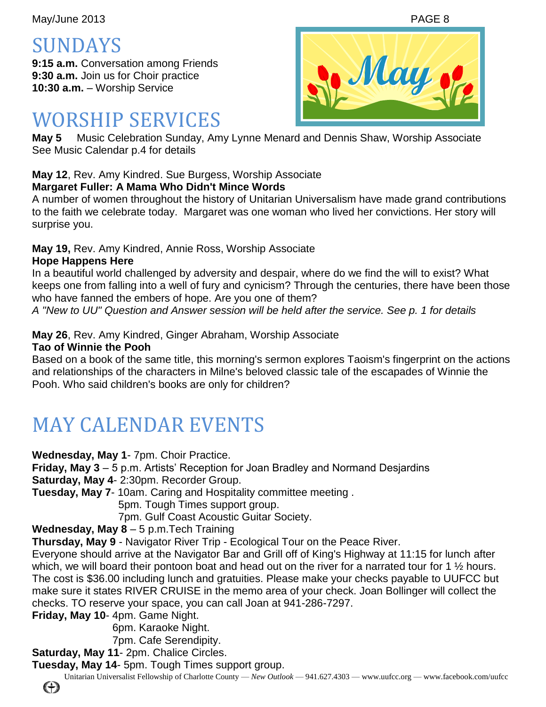May/June 2013 **PAGE 8** 

SUNDAYS

**9:15 a.m.** Conversation among Friends **9:30 a.m.** Join us for Choir practice **10:30 a.m.** – Worship Service

### WORSHIP SERVICES

**May 5** Music Celebration Sunday, Amy Lynne Menard and Dennis Shaw, Worship Associate See Music Calendar p.4 for details

### **May 12**, Rev. Amy Kindred. Sue Burgess, Worship Associate

### **Margaret Fuller: A Mama Who Didn't Mince Words**

A number of women throughout the history of Unitarian Universalism have made grand contributions to the faith we celebrate today. Margaret was one woman who lived her convictions. Her story will surprise you.

**May 19,** Rev. Amy Kindred, Annie Ross, Worship Associate

### **Hope Happens Here**

In a beautiful world challenged by adversity and despair, where do we find the will to exist? What keeps one from falling into a well of fury and cynicism? Through the centuries, there have been those who have fanned the embers of hope. Are you one of them?

*A "New to UU" Question and Answer session will be held after the service. See p. 1 for details*

### **May 26**, Rev. Amy Kindred, Ginger Abraham, Worship Associate

**Tao of Winnie the Pooh**

Based on a book of the same title, this morning's sermon explores Taoism's fingerprint on the actions and relationships of the characters in Milne's beloved classic tale of the escapades of Winnie the Pooh. Who said children's books are only for children?

# MAY CALENDAR EVENTS

**Wednesday, May 1**- 7pm. Choir Practice.

**Friday, May 3** – 5 p.m. Artists' Reception for Joan Bradley and Normand Desjardins

**Saturday, May 4**- 2:30pm. Recorder Group.

**Tuesday, May 7**- 10am. Caring and Hospitality committee meeting .

5pm. Tough Times support group.

7pm. Gulf Coast Acoustic Guitar Society.

### **Wednesday, May 8** – 5 p.m.Tech Training

**Thursday, May 9** - Navigator River Trip - Ecological Tour on the Peace River.

Everyone should arrive at the Navigator Bar and Grill off of King's Highway at 11:15 for lunch after which, we will board their pontoon boat and head out on the river for a narrated tour for 1  $\frac{1}{2}$  hours. The cost is \$36.00 including lunch and gratuities. Please make your checks payable to UUFCC but make sure it states RIVER CRUISE in the memo area of your check. Joan Bollinger will collect the checks. TO reserve your space, you can call Joan at 941-286-7297.

**Friday, May 10**- 4pm. Game Night.

6pm. Karaoke Night.

7pm. Cafe Serendipity.

**Saturday, May 11**- 2pm. Chalice Circles.

**Tuesday, May 14**- 5pm. Tough Times support group.

Unitarian Universalist Fellowship of Charlotte County — *New Outlook* — 941.627.4303 — www.uufcc.org — www.facebook.com/uufcc



€₩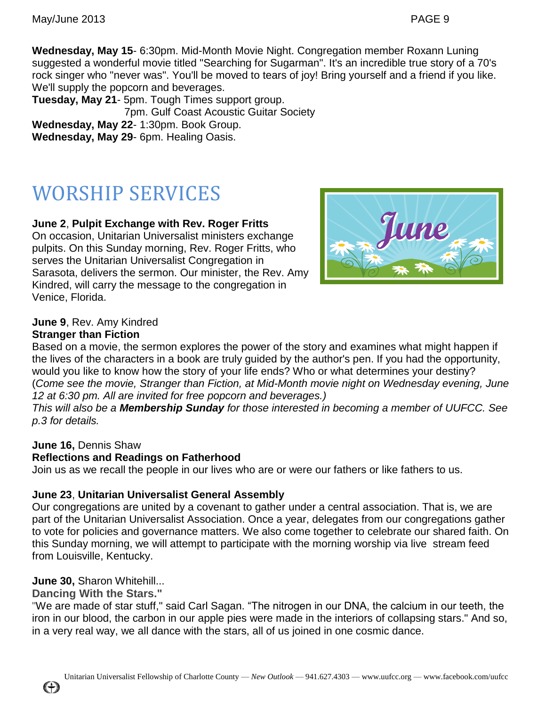**Wednesday, May 15**- 6:30pm. Mid-Month Movie Night. Congregation member Roxann Luning suggested a wonderful movie titled "Searching for Sugarman". It's an incredible true story of a 70's rock singer who "never was". You'll be moved to tears of joy! Bring yourself and a friend if you like. We'll supply the popcorn and beverages.

**Tuesday, May 21**- 5pm. Tough Times support group. 7pm. Gulf Coast Acoustic Guitar Society **Wednesday, May 22**- 1:30pm. Book Group. **Wednesday, May 29**- 6pm. Healing Oasis.

# WORSHIP SERVICES

### **June 2**, **Pulpit Exchange with Rev. Roger Fritts**

On occasion, Unitarian Universalist ministers exchange pulpits. On this Sunday morning, Rev. Roger Fritts, who serves the Unitarian Universalist Congregation in Sarasota, delivers the sermon. Our minister, the Rev. Amy Kindred, will carry the message to the congregation in Venice, Florida.



### **June 9**, Rev. Amy Kindred

#### **Stranger than Fiction**

Based on a movie, the sermon explores the power of the story and examines what might happen if the lives of the characters in a book are truly guided by the author's pen. If you had the opportunity, would you like to know how the story of your life ends? Who or what determines your destiny? (*Come see the movie, Stranger than Fiction, at Mid-Month movie night on Wednesday evening, June 12 at 6:30 pm. All are invited for free popcorn and beverages.)*

*This will also be a Membership Sunday for those interested in becoming a member of UUFCC. See p.3 for details.*

### **June 16,** Dennis Shaw

### **Reflections and Readings on Fatherhood**

Join us as we recall the people in our lives who are or were our fathers or like fathers to us.

### **June 23**, **Unitarian Universalist General Assembly**

Our congregations are united by a covenant to gather under a central association. That is, we are part of the Unitarian Universalist Association. Once a year, delegates from our congregations gather to vote for policies and governance matters. We also come together to celebrate our shared faith. On this Sunday morning, we will attempt to participate with the morning worship via live stream feed from Louisville, Kentucky.

### **June 30,** Sharon Whitehill...

**Dancing With the Stars."**

"We are made of star stuff," said Carl Sagan. "The nitrogen in our DNA, the calcium in our teeth, the iron in our blood, the carbon in our apple pies were made in the interiors of collapsing stars." And so, in a very real way, we all dance with the stars, all of us joined in one cosmic dance.